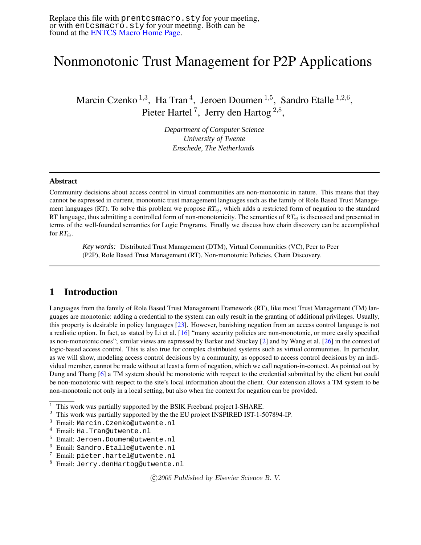# Nonmonotonic Trust Management for P2P Applications

Marcin Czenko<sup>1,3</sup>, Ha Tran<sup>4</sup>, Jeroen Doumen<sup>1,5</sup>, Sandro Etalle<sup>1,2,6</sup>, Pieter Hartel<sup>7</sup>, Jerry den Hartog<sup>2,8</sup>,

> *Department of Computer Science University of Twente Enschede, The Netherlands*

#### **Abstract**

Community decisions about access control in virtual communities are non-monotonic in nature. This means that they cannot be expressed in current, monotonic trust management languages such as the family of Role Based Trust Management languages (RT). To solve this problem we propose  $RT_{\ominus}$ , which adds a restricted form of negation to the standard RT language, thus admitting a controlled form of non-monotonicity. The semantics of  $RT_{\ominus}$  is discussed and presented in terms of the well-founded semantics for Logic Programs. Finally we discuss how chain discovery can be accomplished for  $RT_{\ominus}$ .

*Key words:* Distributed Trust Management (DTM), Virtual Communities (VC), Peer to Peer (P2P), Role Based Trust Management (RT), Non-monotonic Policies, Chain Discovery.

### **1 Introduction**

Languages from the family of Role Based Trust Management Framework (RT), like most Trust Management (TM) languages are monotonic: adding a credential to the system can only result in the granting of additional privileges. Usually, this property is desirable in policy languages [\[23\]](#page-10-0). However, banishing negation from an access control language is not a realistic option. In fact, as stated by Li et al. [\[16\]](#page-10-1) "many security policies are non-monotonic, or more easily specified as non-monotonic ones"; similar views are expressed by Barker and Stuckey [\[2\]](#page-9-0) and by Wang et al. [\[26\]](#page-10-2) in the context of logic-based access control. This is also true for complex distributed systems such as virtual communities. In particular, as we will show, modeling access control decisions by a community, as opposed to access control decisions by an individual member, cannot be made without at least a form of negation, which we call negation-in-context. As pointed out by Dung and Thang [\[6\]](#page-9-1) a TM system should be monotonic with respect to the credential submitted by the client but could be non-monotonic with respect to the site's local information about the client. Our extension allows a TM system to be non-monotonic not only in a local setting, but also when the context for negation can be provided.

c 2005 Published by Elsevier Science B. V.

 $1$  This work was partially supported by the BSIK Freeband project I-SHARE.

<sup>&</sup>lt;sup>2</sup> This work was partially supported by the the EU project INSPIRED IST-1-507894-IP.

<sup>3</sup> Email: Marcin.Czenko@utwente.nl

<sup>4</sup> Email: Ha.Tran@utwente.nl

<sup>5</sup> Email: Jeroen.Doumen@utwente.nl

<sup>6</sup> Email: Sandro.Etalle@utwente.nl

<sup>7</sup> Email: pieter.hartel@utwente.nl

<sup>8</sup> Email: Jerry.denHartog@utwente.nl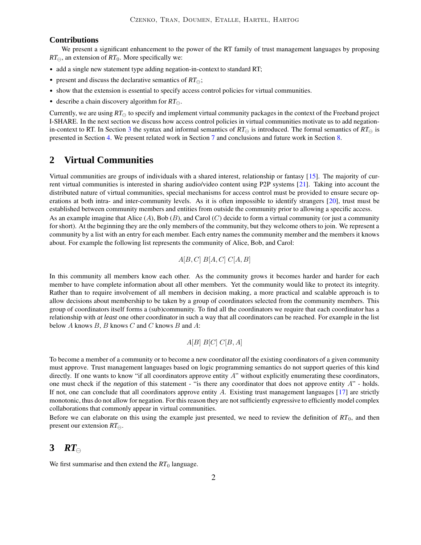#### **Contributions**

We present a significant enhancement to the power of the RT family of trust management languages by proposing  $RT_{\ominus}$ , an extension of  $RT_0$ . More specifically we:

- add a single new statement type adding negation-in-context to standard RT;
- present and discuss the declarative semantics of  $RT_{\ominus}$ ;
- show that the extension is essential to specify access control policies for virtual communities.
- describe a chain discovery algorithm for  $RT_{\ominus}$ .

Currently, we are using  $RT_{\ominus}$  to specify and implement virtual community packages in the context of the Freeband project I-SHARE. In the next section we discuss how access control policies in virtual communities motivate us to add negation-in-context to RT. In Section [3](#page-1-0) the syntax and informal semantics of  $RT_{\ominus}$  is introduced. The formal semantics of  $RT_{\ominus}$  is presented in Section [4.](#page-4-0) We present related work in Section [7](#page-8-0) and conclusions and future work in Section [8.](#page-9-2)

### <span id="page-1-1"></span>**2 Virtual Communities**

Virtual communities are groups of individuals with a shared interest, relationship or fantasy [\[15\]](#page-10-3). The majority of current virtual communities is interested in sharing audio/video content using P2P systems [\[21\]](#page-10-4). Taking into account the distributed nature of virtual communities, special mechanisms for access control must be provided to ensure secure operations at both intra- and inter-community levels. As it is often impossible to identify strangers [\[20\]](#page-10-5), trust must be established between community members and entities from outside the community prior to allowing a specific access.

As an example imagine that Alice  $(A)$ , Bob  $(B)$ , and Carol  $(C)$  decide to form a virtual community (or just a community for short). At the beginning they are the only members of the community, but they welcome others to join. We represent a community by a list with an entry for each member. Each entry names the community member and the members it knows about. For example the following list represents the community of Alice, Bob, and Carol:

$$
A[B,C] B[A,C] C[A,B]
$$

In this community all members know each other. As the community grows it becomes harder and harder for each member to have complete information about all other members. Yet the community would like to protect its integrity. Rather than to require involvement of all members in decision making, a more practical and scalable approach is to allow decisions about membership to be taken by a group of coordinators selected from the community members. This group of coordinators itself forms a (sub)community. To find all the coordinators we require that each coordinator has a relationship with *at least* one other coordinator in such a way that all coordinators can be reached. For example in the list below  $A$  knows  $B$ ,  $B$  knows  $C$  and  $C$  knows  $B$  and  $A$ :

### $A[B] B[C] C[B,A]$

To become a member of a community or to become a new coordinator *all* the existing coordinators of a given community must approve. Trust management languages based on logic programming semantics do not support queries of this kind directly. If one wants to know "if all coordinators approve entity  $A$ " without explicitly enumerating these coordinators, one must check if the *negation* of this statement - "is there any coordinator that does not approve entity A" - holds. If not, one can conclude that all coordinators approve entity A. Existing trust management languages [\[17\]](#page-10-6) are strictly monotonic, thus do not allow for negation. For this reason they are not sufficiently expressive to efficiently model complex collaborations that commonly appear in virtual communities.

Before we can elaborate on this using the example just presented, we need to review the definition of *RT*0, and then present our extension  $RT_{\ominus}$ .

## <span id="page-1-0"></span>**3** *RT*

We first summarise and then extend the  $RT_0$  language.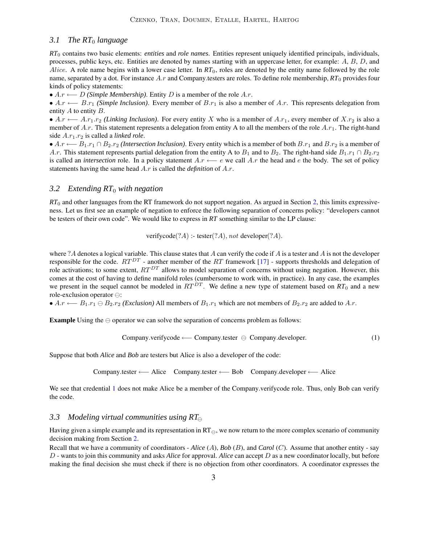#### *3.1 The RT*<sup>0</sup> *language*

*RT*<sup>0</sup> contains two basic elements: *entities* and *role names*. Entities represent uniquely identified principals, individuals, processes, public keys, etc. Entities are denoted by names starting with an uppercase letter, for example: A, B, D, and Alice. A role name begins with a lower case letter. In *RT*<sub>0</sub>, roles are denoted by the entity name followed by the role name, separated by a dot. For instance A.r and Company.testers are roles. To define role membership,  $RT_0$  provides four kinds of policy statements:

• A.r ←− D *(Simple Membership)*. Entity D is a member of the role A.r.

• A.r ← B.r<sub>1</sub> *(Simple Inclusion)*. Every member of B.r<sub>1</sub> is also a member of A.r. This represents delegation from entity  $A$  to entity  $B$ .

•  $A.r \leftarrow A.r_1.r_2$  *(Linking Inclusion)*. For every entity X who is a member of  $A.r_1$ , every member of  $X.r_2$  is also a member of A.r. This statement represents a delegation from entity A to all the members of the role  $A.r_1$ . The right-hand side  $A.r_1.r_2$  is called a *linked role*.

•  $A.r \longleftarrow B_1.r_1 \cap B_2.r_2$  *(Intersection Inclusion)*. Every entity which is a member of both  $B.r_1$  and  $B.r_2$  is a member of A.r. This statement represents partial delegation from the entity A to B<sub>1</sub> and to B<sub>2</sub>. The right-hand side B<sub>1</sub>.r<sub>1</sub> ∩ B<sub>2</sub>.r<sub>2</sub> is called an *intersection* role. In a policy statement  $A.r \leftarrow e$  we call  $A.r$  the head and e the body. The set of policy statements having the same head A.r is called the *definition* of A.r.

#### *3.2 Extending RT*<sup>0</sup> *with negation*

*RT*<sup>0</sup> and other languages from the RT framework do not support negation. As argued in Section [2,](#page-1-1) this limits expressiveness. Let us first see an example of negation to enforce the following separation of concerns policy: "developers cannot be testers of their own code". We would like to express in *RT* something similar to the LP clause:

verifycode $(?A)$  :- tester $(?A)$ , not developer $(?A)$ .

where ? A denotes a logical variable. This clause states that A can verify the code if A is a tester and A is not the developer responsible for the code.  $RT^{DT}$  - another member of the RT framework [\[17\]](#page-10-6) - supports thresholds and delegation of role activations; to some extent,  $RT^{DT}$  allows to model separation of concerns without using negation. However, this comes at the cost of having to define manifold roles (cumbersome to work with, in practice). In any case, the examples we present in the sequel cannot be modeled in  $RT^{DT}$ . We define a new type of statement based on  $RT_0$  and a new role-exclusion operator  $\ominus$ :

•  $A.r \leftarrow B_1.r_1 \oplus B_2.r_2$  *(Exclusion)* All members of  $B_1.r_1$  which are not members of  $B_2.r_2$  are added to A.r.

**Example** Using the  $\ominus$  operator we can solve the separation of concerns problem as follows:

<span id="page-2-0"></span>
$$
Compary. verifycode \longleftarrow Company.tester \ominus Company.developer. \tag{1}
$$

Suppose that both *Alice* and *Bob* are testers but Alice is also a developer of the code:

Company.tester ←− Alice Company.tester ←− Bob Company.developer ←− Alice

We see that credential [1](#page-2-0) does not make Alice be a member of the Company.verifycode role. Thus, only Bob can verify the code.

### <span id="page-2-1"></span>*3.3 Modeling virtual communities using RT*

Having given a simple example and its representation in  $RT_{\ominus}$ , we now return to the more complex scenario of community decision making from Section [2.](#page-1-1)

Recall that we have a community of coordinators - *Alice* (A), *Bob* (B), and *Carol* (C). Assume that another entity - say D - wants to join this community and asks *Alice* for approval. *Alice* can accept D as a new coordinator locally, but before making the final decision she must check if there is no objection from other coordinators. A coordinator expresses the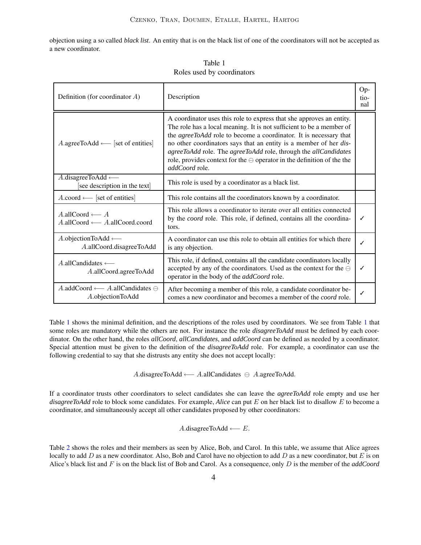objection using a so called *black list*. An entity that is on the black list of one of the coordinators will not be accepted as a new coordinator.

| Definition (for coordinator $A$ )                                                   | Description                                                                                                                                                                                                                                                                                                                                                                                                                                                          |  |  |  |
|-------------------------------------------------------------------------------------|----------------------------------------------------------------------------------------------------------------------------------------------------------------------------------------------------------------------------------------------------------------------------------------------------------------------------------------------------------------------------------------------------------------------------------------------------------------------|--|--|--|
| $A.\text{agreeToAdd} \longleftarrow [\text{set of entities}]$                       | A coordinator uses this role to express that she approves an entity.<br>The role has a local meaning. It is not sufficient to be a member of<br>the <i>agreeToAdd</i> role to become a coordinator. It is necessary that<br>no other coordinators says that an entity is a member of her dis-<br>agreeToAdd role. The agreeToAdd role, through the allCandidates<br>role, provides context for the $\ominus$ operator in the definition of the the<br>addCoord role. |  |  |  |
| $A$ .disagreeToAdd $\longleftarrow$<br>[see description in the text]                | This role is used by a coordinator as a black list.                                                                                                                                                                                                                                                                                                                                                                                                                  |  |  |  |
| $A$ .coord $\longleftarrow$ [set of entities]                                       | This role contains all the coordinators known by a coordinator.                                                                                                                                                                                                                                                                                                                                                                                                      |  |  |  |
| $A$ .allCoord $\longleftarrow$ A<br>$A$ .allCoord $\longleftarrow$ A.allCoord.coord | This role allows a coordinator to iterate over all entities connected<br>by the <i>coord</i> role. This role, if defined, contains all the coordina-<br>tors.                                                                                                                                                                                                                                                                                                        |  |  |  |
| A.objectionToAdd $\longleftarrow$<br>A.allCoord.disagreeToAdd                       | A coordinator can use this role to obtain all entities for which there<br>is any objection.                                                                                                                                                                                                                                                                                                                                                                          |  |  |  |
| A.allCandidates $\longleftarrow$<br>A.allCoord.agreeToAdd                           | This role, if defined, contains all the candidate coordinators locally<br>accepted by any of the coordinators. Used as the context for the $\ominus$<br>operator in the body of the <i>addCoord</i> role.                                                                                                                                                                                                                                                            |  |  |  |
| A.addCoord $\longleftarrow$ A.allCandidates $\ominus$<br>A.objectionToAdd           | After becoming a member of this role, a candidate coordinator be-<br>comes a new coordinator and becomes a member of the <i>coord</i> role.                                                                                                                                                                                                                                                                                                                          |  |  |  |

<span id="page-3-0"></span>Table 1 Roles used by coordinators

Table [1](#page-3-0) shows the minimal definition, and the descriptions of the roles used by coordinators. We see from Table [1](#page-3-0) that some roles are mandatory while the others are not. For instance the role *disagreeToAdd* must be defined by each coordinator. On the other hand, the roles *allCoord*, *allCandidates*, and *addCoord* can be defined as needed by a coordinator. Special attention must be given to the definition of the *disagreeToAdd* role. For example, a coordinator can use the following credential to say that she distrusts any entity she does not accept locally:

A.disagreeToAdd ←− A.allCandidates A.agreeToAdd.

If a coordinator trusts other coordinators to select candidates she can leave the *agreeToAdd* role empty and use her *disagreeToAdd* role to block some candidates. For example, *Alice* can put E on her black list to disallow E to become a coordinator, and simultaneously accept all other candidates proposed by other coordinators:

#### A.disagreeToAdd ← $E$ .

Table [2](#page-4-1) shows the roles and their members as seen by Alice, Bob, and Carol. In this table, we assume that Alice agrees locally to add D as a new coordinator. Also, Bob and Carol have no objection to add D as a new coordinator, but E is on Alice's black list and F is on the black list of Bob and Carol. As a consequence, only D is the member of the *addCoord*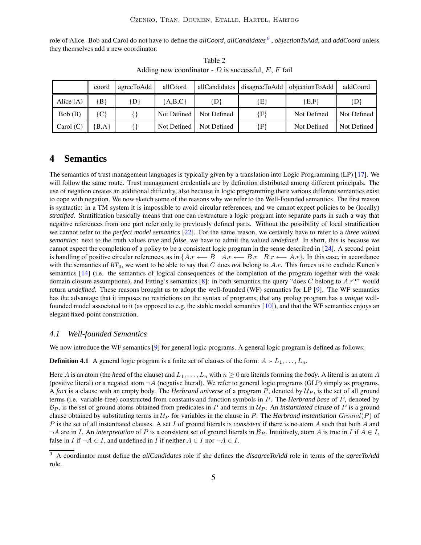role of Alice. Bob and Carol do not have to define the *allCoord*, *allCandidates* [9](#page-4-2) , *objectionToAdd*, and *addCoord* unless they themselves add a new coordinator.

<span id="page-4-1"></span>

|             | coord     | agreeToAdd | allCoord    |                           | allCandidates disagreeToAdd | objectionToAdd | addCoord    |
|-------------|-----------|------------|-------------|---------------------------|-----------------------------|----------------|-------------|
| Alice $(A)$ | B         | $\{D\}$    | ${A,B,C}$   | $\{D\}$                   | {E                          | E, F           | $\{D\}$     |
| Bob(B)      | (C)       |            |             | Not Defined   Not Defined | $\{ {\bf F} \}$             | Not Defined    | Not Defined |
| Carol $(C)$ | $\{B,A\}$ |            | Not Defined | Not Defined               | $\{ {\rm F} \}$             | Not Defined    | Not Defined |

Table 2 Adding new coordinator -  $D$  is successful,  $E$ ,  $F$  fail

### <span id="page-4-0"></span>**4 Semantics**

The semantics of trust management languages is typically given by a translation into Logic Programming (LP) [\[17\]](#page-10-6). We will follow the same route. Trust management credentials are by definition distributed among different principals. The use of negation creates an additional difficulty, also because in logic programming there various different semantics exist to cope with negation. We now sketch some of the reasons why we refer to the Well-Founded semantics. The first reason is syntactic: in a TM system it is impossible to avoid circular references, and we cannot expect policies to be (locally) *stratified*. Stratification basically means that one can restructure a logic program into separate parts in such a way that negative references from one part refer only to previously defined parts. Without the possibility of local stratification we cannot refer to the *perfect model semantics* [\[22\]](#page-10-7). For the same reason, we certainly have to refer to a *three valued semantics*: next to the truth values *true* and *false*, we have to admit the valued *undefined*. In short, this is because we cannot expect the completion of a policy to be a consistent logic program in the sense described in [\[24\]](#page-10-8). A second point is handling of positive circular references, as in  $\{Ax \longleftarrow B \mid Ax \longleftarrow B.r \text{ } B.r \longleftarrow A.r\}$ . In this case, in accordance with the semantics of  $RT_0$ , we want to be able to say that C does *not* belong to A.r. This forces us to exclude Kunen's semantics [\[14\]](#page-10-9) (i.e. the semantics of logical consequences of the completion of the program together with the weak domain closure assumptions), and Fitting's semantics [\[8\]](#page-9-3): in both semantics the query "does C belong to  $A.r?$ " would return *undefined*. These reasons brought us to adopt the well-founded (WF) semantics for LP [\[9\]](#page-9-4). The WF semantics has the advantage that it imposes no restrictions on the syntax of programs, that any prolog program has a *unique* wellfounded model associated to it (as opposed to e.g. the stable model semantics [\[10\]](#page-9-5)), and that the WF semantics enjoys an elegant fixed-point construction.

#### *4.1 Well-founded Semantics*

We now introduce the WF semantics [\[9\]](#page-9-4) for general logic programs. A general logic program is defined as follows:

**Definition 4.1** A general logic program is a finite set of clauses of the form:  $A : L_1, \ldots, L_n$ .

Here A is an atom (the *head* of the clause) and  $L_1, \ldots, L_n$  with  $n \geq 0$  are literals forming the *body*. A literal is an atom A (positive literal) or a negated atom  $\neg A$  (negative literal). We refer to general logic programs (GLP) simply as programs. A *fact* is a clause with an empty body. The *Herbrand universe* of a program P, denoted by  $U_P$ , is the set of all ground terms (i.e. variable-free) constructed from constants and function symbols in P. The *Herbrand base* of P, denoted by  $B_P$ , is the set of ground atoms obtained from predicates in P and terms in  $U_P$ . An *instantiated clause* of P is a ground clause obtained by substituting terms in  $\mathcal{U}_P$  for variables in the clause in P. The *Herbrand instantiation* Ground(P) of P is the set of all instantiated clauses. A set I of ground literals is *consistent* if there is no atom A such that both A and  $\neg A$  are in I. An *interpretation* of P is a consistent set of ground literals in  $\mathcal{B}_P$ . Intuitively, atom A is true in I if  $A \in I$ , false in I if  $\neg A \in I$ , and undefined in I if neither  $A \in I$  nor  $\neg A \in I$ .

<span id="page-4-2"></span><sup>9</sup> A coordinator must define the *allCandidates* role if she defines the *disagreeToAdd* role in terms of the *agreeToAdd* role.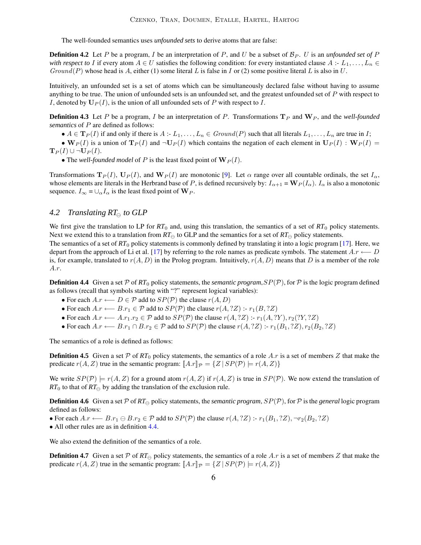The well-founded semantics uses *unfounded sets* to derive atoms that are false:

**Definition 4.2** Let P be a program, I be an interpretation of P, and U be a subset of  $\mathcal{B}_P$ . U is an *unfounded set* of P *with respect to* I if every atom  $A \in U$  satisfies the following condition: for every instantiated clause  $A : L_1, \ldots, L_n \in$  $Ground(P)$  whose head is A, either (1) some literal L is false in I or (2) some positive literal L is also in U.

Intuitively, an unfounded set is a set of atoms which can be simultaneously declared false without having to assume anything to be true. The union of unfounded sets is an unfounded set, and the greatest unfounded set of P with respect to I, denoted by  $\mathbf{U}_P(I)$ , is the union of all unfounded sets of P with respect to I.

**Definition 4.3** Let P be a program, I be an interpretation of P. Transformations  $T_P$  and  $W_P$ , and the *well-founded semantics* of P are defined as follows:

•  $A \in {\bf T}_P(I)$  if and only if there is  $A : L_1, \ldots, L_n \in \text{Ground}(P)$  such that all literals  $L_1, \ldots, L_n$  are true in I;

•  $W_P(I)$  is a union of  $T_P(I)$  and  $\neg U_P(I)$  which contains the negation of each element in  $U_P(I) : W_P(I) =$  ${\bf T}_P(I) \cup \neg {\bf U}_P(I).$ 

• The *well-founded model* of P is the least fixed point of  $W_P(I)$ .

Transformations  $T_P(I)$ ,  $U_P(I)$ , and  $W_P(I)$  are monotonic [\[9\]](#page-9-4). Let  $\alpha$  range over all countable ordinals, the set  $I_\alpha$ , whose elements are literals in the Herbrand base of P, is defined recursively by:  $I_{\alpha+1} = \mathbf{W}_P(I_\alpha)$ .  $I_\alpha$  is also a monotonic sequence.  $I_{\infty} = \bigcup_{\alpha} I_{\alpha}$  is the least fixed point of  $\mathbf{W}_P$ .

### <span id="page-5-1"></span>*4.2 Translating*  $RT_{\ominus}$  *to GLP*

We first give the translation to LP for  $RT_0$  and, using this translation, the semantics of a set of  $RT_0$  policy statements. Next we extend this to a translation from  $RT_{\ominus}$  to GLP and the semantics for a set of  $RT_{\ominus}$  policy statements.

The semantics of a set of *RT*<sup>0</sup> policy statements is commonly defined by translating it into a logic program [\[17\]](#page-10-6). Here, we depart from the approach of Li et al. [\[17\]](#page-10-6) by referring to the role names as predicate symbols. The statement  $Ax \leftarrow D$ is, for example, translated to  $r(A, D)$  in the Prolog program. Intuitively,  $r(A, D)$  means that D is a member of the role A.r.

<span id="page-5-0"></span>**Definition 4.4** Given a set P of  $RT_0$  policy statements, the *semantic program*,  $SP(\mathcal{P})$ , for P is the logic program defined as follows (recall that symbols starting with "?" represent logical variables):

- For each  $A.r \longleftarrow D \in \mathcal{P}$  add to  $SP(\mathcal{P})$  the clause  $r(A, D)$
- For each  $A.r \longleftarrow B.r_1 \in \mathcal{P}$  add to  $SP(\mathcal{P})$  the clause  $r(A, ?Z) := r_1(B, ?Z)$
- For each  $A.r \longleftarrow A.r_1.r_2 \in \mathcal{P}$  add to  $SP(\mathcal{P})$  the clause  $r(A, ?Z) := r_1(A, ?Y), r_2(?Y, ?Z)$
- For each  $A.r \longleftarrow B.r_1 \cap B.r_2 \in \mathcal{P}$  add to  $SP(\mathcal{P})$  the clause  $r(A, ?Z)$  :-  $r_1(B_1, ?Z), r_2(B_2, ?Z)$

The semantics of a role is defined as follows:

**Definition 4.5** Given a set  $\mathcal{P}$  of  $RT_0$  policy statements, the semantics of a role A.r is a set of members Z that make the predicate  $r(A, Z)$  true in the semantic program:  $[A.r]\]$   $p = \{Z \mid SP(\mathcal{P}) \models r(A, Z)\}$ 

We write  $SP(\mathcal{P}) \models r(A, Z)$  for a ground atom  $r(A, Z)$  if  $r(A, Z)$  is true in  $SP(\mathcal{P})$ . We now extend the translation of  $RT_0$  to that of  $RT_{\ominus}$  by adding the translation of the exclusion rule.

**Definition 4.6** Given a set P of  $RT_{\ominus}$  policy statements, the *semantic program*,  $SP(\mathcal{P})$ , for P is the *general* logic program defined as follows:

• For each  $A.r \longleftarrow B.r_1 \ominus B.r_2 \in \mathcal{P}$  add to  $SP(\mathcal{P})$  the clause  $r(A, ?Z) := r_1(B_1, ?Z), \neg r_2(B_2, ?Z)$ 

• All other rules are as in definition [4.4.](#page-5-0)

We also extend the definition of the semantics of a role.

**Definition 4.7** Given a set P of  $RT_{\ominus}$  policy statements, the semantics of a role A.r is a set of members Z that make the predicate  $r(A, Z)$  true in the semantic program:  $[[A,r]]_{\mathcal{P}} = \{Z | SP(\mathcal{P}) \models r(A, Z)\}\$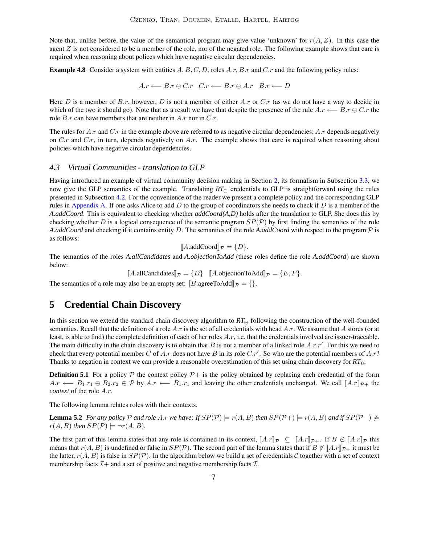Note that, unlike before, the value of the semantical program may give value 'unknown' for  $r(A, Z)$ . In this case the agent  $Z$  is not considered to be a member of the role, nor of the negated role. The following example shows that care is required when reasoning about polices which have negative circular dependencies.

**Example 4.8** Consider a system with entities A, B, C, D, roles A.r, B.r and C.r and the following policy rules:

 $A.r \leftarrow B.r \ominus C.r \quad C.r \leftarrow B.r \ominus A.r \quad B.r \leftarrow D$ 

Here D is a member of  $B.r$ , however, D is not a member of either  $A.r$  or  $C.r$  (as we do not have a way to decide in which of the two it should go). Note that as a result we have that despite the presence of the rule  $A.r \leftarrow B.r \ominus C.r$  the role  $B.r$  can have members that are neither in  $A.r$  nor in  $C.r$ .

The rules for A.r and C.r in the example above are referred to as negative circular dependencies; A.r depends negatively on  $C.r$  and  $C.r$ , in turn, depends negatively on  $A.r$ . The example shows that care is required when reasoning about policies which have negative circular dependencies.

#### *4.3 Virtual Communities - translation to GLP*

Having introduced an example of virtual community decision making in Section [2,](#page-1-1) its formalism in Subsection [3.3,](#page-2-1) we now give the GLP semantics of the example. Translating  $RT_{\ominus}$  credentials to GLP is straightforward using the rules presented in Subsection [4.2.](#page-5-1) For the convenience of the reader we present a complete policy and the corresponding GLP rules in [Appendix](#page-11-0) A. If one asks Alice to add D to the group of coordinators she needs to check if D is a member of the *A.addCoord*. This is equivalent to checking whether *addCoord(A,D)* holds after the translation to GLP. She does this by checking whether D is a logical consequence of the semantic program  $SP(\mathcal{P})$  by first finding the semantics of the role *A.addCoord* and checking if it contains entity D. The semantics of the role *A.addCoord* with respect to the program P is as follows:

$$
[\![A.\text{addCoord}]\!]_{\mathcal{P}} = \{D\}.
$$

The semantics of the roles *A.allCandidates* and *A.objectionToAdd* (these roles define the role *A.addCoord*) are shown below:

 $\llbracket A \text{.allC} \text{.andidates} \rrbracket_{\mathcal{P}} = \{D\} \quad \llbracket A \text{.objectionToAdd} \rrbracket_{\mathcal{P}} = \{E, F\}.$ 

The semantics of a role may also be an empty set:  $[B\text{.agreeToAdd}]_{\mathcal{P}} = \{\}.$ 

### **5 Credential Chain Discovery**

In this section we extend the standard chain discovery algorithm to  $RT_{\ominus}$  following the construction of the well-founded semantics. Recall that the definition of a role A.r is the set of all credentials with head A.r. We assume that A stores (or at least, is able to find) the complete definition of each of her roles  $A.r$ , i.e. that the credentials involved are issuer-traceable. The main difficulty in the chain discovery is to obtain that B is not a member of a linked role  $A.r.r'$ . For this we need to check that every potential member C of A.r does not have B in its role  $C.r'$ . So who are the potential members of A.r? Thanks to negation in context we can provide a reasonable overestimation of this set using chain discovery for *RT*0:

**Definition 5.1** For a policy  $P$  the context policy  $P+$  is the policy obtained by replacing each credential of the form  $A.r \leftarrow B_1.r_1 \oplus B_2.r_2 \in \mathcal{P}$  by  $A.r \leftarrow B_1.r_1$  and leaving the other credentials unchanged. We call  $\llbracket A.r \rrbracket_{\mathcal{P}+}$  the *context* of the role A.r.

The following lemma relates roles with their contexts.

**Lemma 5.2** For any policy P and role A.r we have: If  $SP(\mathcal{P}) \models r(A, B)$  then  $SP(\mathcal{P}+) \models r(A, B)$  and if  $SP(\mathcal{P}+) \not\models$  $r(A, B)$  *then*  $SP(\mathcal{P}) \models \neg r(A, B)$ *.* 

The first part of this lemma states that any role is contained in its context,  $[[A \cdot x]]_{\mathcal{P}} \subseteq [[A \cdot x]]_{\mathcal{P}} +$ . If  $B \notin [[A \cdot x]]_{\mathcal{P}}$  this means that  $r(A, B)$  is undefined or false in  $SP(\mathcal{P})$ . The second part of the lemma states that if  $B \notin [A \cdot r]_{\mathcal{P}+}$  it must be the latter,  $r(A, B)$  is false in  $SP(\mathcal{P})$ . In the algorithm below we build a set of credentials C together with a set of context membership facts  $\mathcal{I}$  + and a set of positive and negative membership facts  $\mathcal{I}$ .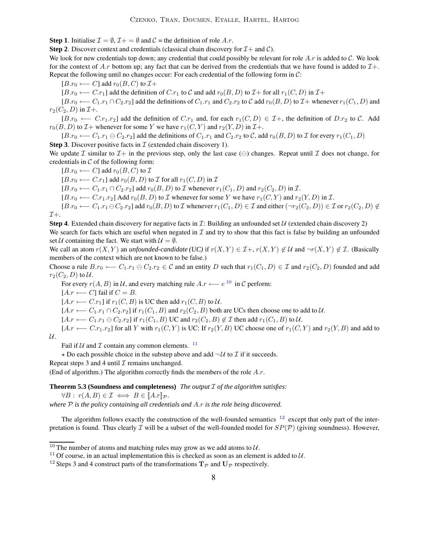**Step 1**. Initialise  $\mathcal{I} = \emptyset$ ,  $\mathcal{I} + \emptyset$  and  $\mathcal{C} =$  the definition of role A.r.

**Step 2.** Discover context and credentials (classical chain discovery for  $\mathcal{I}$  + and  $\mathcal{C}$ ).

We look for new credentials top down; any credential that could possibly be relevant for role  $Ar$  is added to C. We look for the context of A.r bottom up; any fact that can be derived from the credentials that we have found is added to  $\mathcal{I}$ +. Repeat the following until no changes occur: For each credential of the following form in C:

 $[B.r_0 \longleftarrow C]$  add  $r_0(B, C)$  to  $\mathcal{I}+$ 

 $[B.r_0 \longleftarrow C.r_1]$  add the definition of  $C.r_1$  to C and add  $r_0(B, D)$  to  $\mathcal{I}+$  for all  $r_1(C, D)$  in  $\mathcal{I}+$ 

 $[B.r_0 \longleftarrow C_1.r_1 \cap C_2.r_2]$  add the definitions of  $C_1.r_1$  and  $C_2.r_2$  to C add  $r_0(B, D)$  to  $\mathcal{I}$ + whenever  $r_1(C_1, D)$  and  $r_2(C_2, D)$  in  $\mathcal{I}+$ .

 $[B.r_0 \leftarrow C.r_1.r_2]$  add the definition of  $C.r_1$  and, for each  $r_1(C, D) \in \mathcal{I}$ +, the definition of  $D.r_2$  to  $C$ . Add  $r_0(B, D)$  to  $\mathcal{I}$  whenever for some Y we have  $r_1(C, Y)$  and  $r_2(Y, D)$  in  $\mathcal{I}$ +.

 $[B.r_0 \longleftarrow C_1.r_1 \ominus C_2.r_2]$  add the definitions of  $C_1.r_1$  and  $C_2.r_2$  to C, add  $r_0(B, D)$  to T for every  $r_1(C_1, D)$ 

**Step 3.** Discover positive facts in  $\mathcal{I}$  (extended chain discovery 1).

We update I similar to  $I_+$  in the previous step, only the last case  $(\ominus)$  changes. Repeat until I does not change, for credentials in  $C$  of the following form:

 $[B.r_0 \longleftarrow C]$  add  $r_0(B, C)$  to  $\mathcal I$ 

 $[B.r_0 \longleftarrow C.r_1]$  add  $r_0(B, D)$  to  $\mathcal I$  for all  $r_1(C, D)$  in  $\mathcal I$ 

 $[B.r_0 \longleftarrow C_1.r_1 \cap C_2.r_2]$  add  $r_0(B, D)$  to  $\mathcal I$  whenever  $r_1(C_1, D)$  and  $r_2(C_2, D)$  in  $\mathcal I$ .

 $[B.r_0 \leftarrow C.r_1.r_2]$  Add  $r_0(B, D)$  to  $\mathcal I$  whenever for some Y we have  $r_1(C, Y)$  and  $r_2(Y, D)$  in  $\mathcal I$ .

 $[B.r_0 \longleftarrow C_1.r_1 \ominus C_2.r_2]$  add  $r_0(B, D)$  to  $\mathcal I$  whenever  $r_1(C_1, D) \in \mathcal I$  and either  $(\neg r_2(C_2, D)) \in \mathcal I$  or  $r_2(C_2, D) \notin$  $\mathcal{I}+$ .

**Step 4.** Extended chain discovery for negative facts in  $\mathcal{I}$ : Building an unfounded set  $\mathcal{U}$  (extended chain discovery 2) We search for facts which are useful when negated in  $\mathcal I$  and try to show that this fact is false by building an unfounded set U containing the fact. We start with  $U = \emptyset$ .

We call an atom  $r(X, Y)$  an *unfounded-candidate (UC)* if  $r(X, Y) \in \mathcal{I}$ +,  $r(X, Y) \notin \mathcal{U}$  and  $\neg r(X, Y) \notin \mathcal{I}$ . (Basically members of the context which are not known to be false.)

Choose a rule  $B.r_0 \leftarrow C_1.r_1 \ominus C_2.r_2 \in \mathcal{C}$  and an entity D such that  $r_1(C_1, D) \in \mathcal{I}$  and  $r_2(C_2, D)$  founded and add  $r_2(C_2, D)$  to U.

For every  $r(A, B)$  in U, and every matching rule  $A.r \longleftarrow e^{10}$  $A.r \longleftarrow e^{10}$  $A.r \longleftarrow e^{10}$  in C perform:

 $[A.r \longleftarrow C]$  fail if  $C = B$ .

[ $A.r \longleftarrow C.r_1$ ] if  $r_1(C, B)$  is UC then add  $r_1(C, B)$  to U.

 $[A.r \longleftarrow C_1.r_1 \cap C_2.r_2]$  if  $r_1(C_1, B)$  and  $r_2(C_2, B)$  both are UCs then choose one to add to U.

 $[A.r \longleftarrow C_1.r_1 \ominus C_2.r_2]$  if  $r_1(C_1, B)$  UC and  $r_2(C_2, B) \notin \mathcal{I}$  then add  $r_1(C_1, B)$  to  $\mathcal{U}$ .

 $[A.r \longleftarrow C.r_1.r_2]$  for all Y with  $r_1(C, Y)$  is UC: If  $r_2(Y, B)$  UC choose one of  $r_1(C, Y)$  and  $r_2(Y, B)$  and add to  $\mathcal{U}.$ 

Fail if  $U$  and  $T$  contain any common elements.  $11$ 

 $\star$  Do each possible choice in the substep above and add  $\neg U$  to  $\mathcal I$  if it succeeds.

Repeat steps 3 and 4 until  $\mathcal I$  remains unchanged.

(End of algorithm.) The algorithm correctly finds the members of the role  $A.r$ .

**Theorem 5.3 (Soundness and completeness)** *The output* I *of the algorithm satisfies:*

 $\forall B : r(A, B) \in \mathcal{I} \iff B \in [A \cdot r]_{\mathcal{P}}.$ 

*where* P *is the policy containing all credentials and* A.r *is the role being discovered.*

The algorithm follows exactly the construction of the well-founded semantics  $12$  except that only part of the interpretation is found. Thus clearly  $\mathcal I$  will be a subset of the well-founded model for  $SP(\mathcal P)$  (giving soundness). However,

<sup>&</sup>lt;sup>10</sup> The number of atoms and matching rules may grow as we add atoms to  $U$ .

<span id="page-7-0"></span><sup>&</sup>lt;sup>11</sup> Of course, in an actual implementation this is checked as soon as an element is added to  $\mathcal{U}$ .

<span id="page-7-2"></span><span id="page-7-1"></span><sup>&</sup>lt;sup>12</sup> Steps 3 and 4 construct parts of the transformations  $T_p$  and  $U_p$  respectively.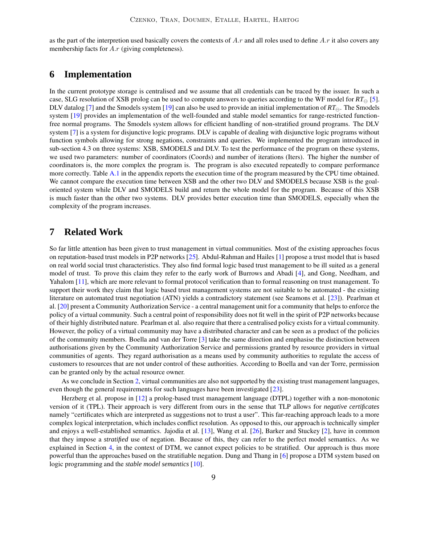as the part of the interpretion used basically covers the contexts of  $A.r$  and all roles used to define  $A.r$  it also covers any membership facts for A.r (giving completeness).

### **6 Implementation**

In the current prototype storage is centralised and we assume that all credentials can be traced by the issuer. In such a case, SLG resolution of XSB prolog can be used to compute answers to queries according to the WF model for  $RT_{\ominus}$  [\[5\]](#page-9-6). DLV datalog [\[7\]](#page-9-7) and the Smodels system [\[19\]](#page-10-10) can also be used to provide an initial implementation of  $RT_{\ominus}$ . The Smodels system [\[19\]](#page-10-10) provides an implementation of the well-founded and stable model semantics for range-restricted functionfree normal programs. The Smodels system allows for efficient handling of non-stratified ground programs. The DLV system [\[7\]](#page-9-7) is a system for disjunctive logic programs. DLV is capable of dealing with disjunctive logic programs without function symbols allowing for strong negations, constraints and queries. We implemented the program introduced in sub-section 4.3 on three systems: XSB, SMODELS and DLV. To test the performance of the program on these systems, we used two parameters: number of coordinators (Coords) and number of iterations (Iters). The higher the number of coordinators is, the more complex the program is. The program is also executed repeatedly to compare performance more correctly. Table [A.1](#page-11-1) in the appendix reports the execution time of the program measured by the CPU time obtained. We cannot compare the execution time between XSB and the other two DLV and SMODELS because XSB is the goaloriented system while DLV and SMODELS build and return the whole model for the program. Because of this XSB is much faster than the other two systems. DLV provides better execution time than SMODELS, especially when the complexity of the program increases.

### <span id="page-8-0"></span>**7 Related Work**

So far little attention has been given to trust management in virtual communities. Most of the existing approaches focus on reputation-based trust models in P2P networks [\[25\]](#page-10-11). Abdul-Rahman and Hailes [\[1\]](#page-9-8) propose a trust model that is based on real world social trust characteristics. They also find formal logic based trust management to be ill suited as a general model of trust. To prove this claim they refer to the early work of Burrows and Abadi [\[4\]](#page-9-9), and Gong, Needham, and Yahalom [\[11\]](#page-9-10), which are more relevant to formal protocol verification than to formal reasoning on trust management. To support their work they claim that logic based trust management systems are not suitable to be automated - the existing literature on automated trust negotiation (ATN) yields a contradictory statement (see Seamons et al. [\[23\]](#page-10-0)). Pearlman et al. [\[20\]](#page-10-5) present a Community Authorization Service - a central management unit for a community that helps to enforce the policy of a virtual community. Such a central point of responsibility does not fit well in the spirit of P2P networks because of their highly distributed nature. Pearlman et al. also require that there a centralised policy exists for a virtual community. However, the policy of a virtual community may have a distributed character and can be seen as a product of the policies of the community members. Boella and van der Torre [\[3\]](#page-9-11) take the same direction and emphasise the distinction between authorisations given by the Community Authorization Service and permissions granted by resource providers in virtual communities of agents. They regard authorisation as a means used by community authorities to regulate the access of customers to resources that are not under control of these authorities. According to Boella and van der Torre, permission can be granted only by the actual resource owner.

As we conclude in Section [2,](#page-1-1) virtual communities are also not supported by the existing trust management languages, even though the general requirements for such languages have been investigated [\[23\]](#page-10-0).

Herzberg et al. propose in [\[12\]](#page-10-12) a prolog-based trust management language (DTPL) together with a non-monotonic version of it (TPL). Their approach is very different from ours in the sense that TLP allows for *negative certificates* namely "certificates which are interpreted as suggestions not to trust a user". This far-reaching approach leads to a more complex logical interpretation, which includes conflict resolution. As opposed to this, our approach is technically simpler and enjoys a well-established semantics. Jajodia et al. [\[13\]](#page-10-13), Wang et al. [\[26\]](#page-10-2), Barker and Stuckey [\[2\]](#page-9-0), have in common that they impose a *stratified* use of negation. Because of this, they can refer to the perfect model semantics. As we explained in Section [4,](#page-4-0) in the context of DTM, we cannot expect policies to be stratified. Our approach is thus more powerful than the approaches based on the stratifiable negation. Dung and Thang in [\[6\]](#page-9-1) propose a DTM system based on logic programming and the *stable model semantics* [\[10\]](#page-9-5).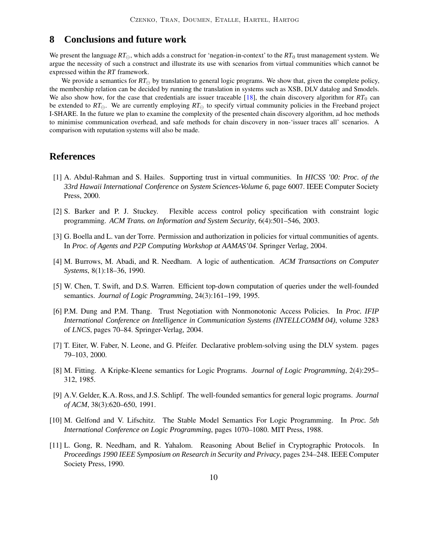### <span id="page-9-2"></span>**8 Conclusions and future work**

We present the language  $RT_{\ominus}$ , which adds a construct for 'negation-in-context' to the  $RT_0$  trust management system. We argue the necessity of such a construct and illustrate its use with scenarios from virtual communities which cannot be expressed within the *RT* framework.

We provide a semantics for  $RT_{\ominus}$  by translation to general logic programs. We show that, given the complete policy, the membership relation can be decided by running the translation in systems such as XSB, DLV datalog and Smodels. We also show how, for the case that credentials are issuer traceable  $[18]$ , the chain discovery algorithm for  $RT_0$  can be extended to  $RT_{\ominus}$ . We are currently employing  $RT_{\ominus}$  to specify virtual community policies in the Freeband project I-SHARE. In the future we plan to examine the complexity of the presented chain discovery algorithm, ad hoc methods to minimise communication overhead, and safe methods for chain discovery in non-'issuer traces all' scenarios. A comparison with reputation systems will also be made.

### <span id="page-9-8"></span>**References**

- [1] A. Abdul-Rahman and S. Hailes. Supporting trust in virtual communities. In *HICSS '00: Proc. of the 33rd Hawaii International Conference on System Sciences-Volume 6*, page 6007. IEEE Computer Society Press, 2000.
- <span id="page-9-0"></span>[2] S. Barker and P. J. Stuckey. Flexible access control policy specification with constraint logic programming. *ACM Trans. on Information and System Security*, 6(4):501–546, 2003.
- <span id="page-9-11"></span><span id="page-9-9"></span>[3] G. Boella and L. van der Torre. Permission and authorization in policies for virtual communities of agents. In *Proc. of Agents and P2P Computing Workshop at AAMAS'04*. Springer Verlag, 2004.
- <span id="page-9-6"></span>[4] M. Burrows, M. Abadi, and R. Needham. A logic of authentication. *ACM Transactions on Computer Systems*, 8(1):18–36, 1990.
- <span id="page-9-1"></span>[5] W. Chen, T. Swift, and D.S. Warren. Efficient top-down computation of queries under the well-founded semantics. *Journal of Logic Programming*, 24(3):161–199, 1995.
- [6] P.M. Dung and P.M. Thang. Trust Negotiation with Nonmonotonic Access Policies. In *Proc. IFIP International Conference on Intelligence in Communication Systems (INTELLCOMM 04)*, volume 3283 of *LNCS*, pages 70–84. Springer-Verlag, 2004.
- <span id="page-9-7"></span><span id="page-9-3"></span>[7] T. Eiter, W. Faber, N. Leone, and G. Pfeifer. Declarative problem-solving using the DLV system. pages 79–103, 2000.
- <span id="page-9-4"></span>[8] M. Fitting. A Kripke-Kleene semantics for Logic Programs. *Journal of Logic Programming*, 2(4):295– 312, 1985.
- [9] A.V. Gelder, K.A. Ross, and J.S. Schlipf. The well-founded semantics for general logic programs. *Journal of ACM*, 38(3):620–650, 1991.
- <span id="page-9-5"></span>[10] M. Gelfond and V. Lifschitz. The Stable Model Semantics For Logic Programming. In *Proc. 5th International Conference on Logic Programming*, pages 1070–1080. MIT Press, 1988.
- <span id="page-9-10"></span>[11] L. Gong, R. Needham, and R. Yahalom. Reasoning About Belief in Cryptographic Protocols. In *Proceedings 1990 IEEE Symposium on Research in Security and Privacy*, pages 234–248. IEEE Computer Society Press, 1990.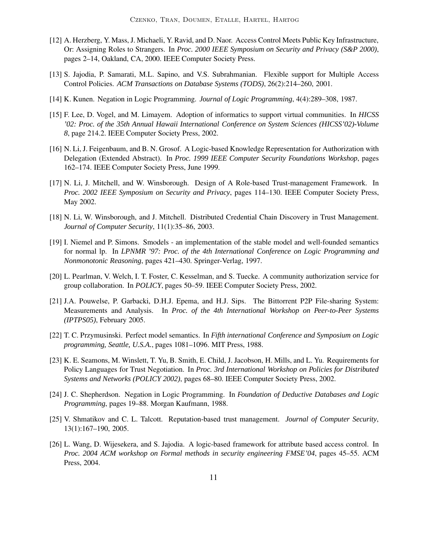- <span id="page-10-12"></span>[12] A. Herzberg, Y. Mass, J. Michaeli, Y. Ravid, and D. Naor. Access Control Meets Public Key Infrastructure, Or: Assigning Roles to Strangers. In *Proc. 2000 IEEE Symposium on Security and Privacy (S&P 2000)*, pages 2–14, Oakland, CA, 2000. IEEE Computer Society Press.
- <span id="page-10-13"></span><span id="page-10-9"></span>[13] S. Jajodia, P. Samarati, M.L. Sapino, and V.S. Subrahmanian. Flexible support for Multiple Access Control Policies. *ACM Transactions on Database Systems (TODS)*, 26(2):214–260, 2001.
- <span id="page-10-3"></span>[14] K. Kunen. Negation in Logic Programming. *Journal of Logic Programming*, 4(4):289–308, 1987.
- [15] F. Lee, D. Vogel, and M. Limayem. Adoption of informatics to support virtual communities. In *HICSS '02: Proc. of the 35th Annual Hawaii International Conference on System Sciences (HICSS'02)-Volume 8*, page 214.2. IEEE Computer Society Press, 2002.
- <span id="page-10-1"></span>[16] N. Li, J. Feigenbaum, and B. N. Grosof. A Logic-based Knowledge Representation for Authorization with Delegation (Extended Abstract). In *Proc. 1999 IEEE Computer Security Foundations Workshop*, pages 162–174. IEEE Computer Society Press, June 1999.
- <span id="page-10-6"></span>[17] N. Li, J. Mitchell, and W. Winsborough. Design of A Role-based Trust-management Framework. In *Proc. 2002 IEEE Symposium on Security and Privacy*, pages 114–130. IEEE Computer Society Press, May 2002.
- <span id="page-10-14"></span><span id="page-10-10"></span>[18] N. Li, W. Winsborough, and J. Mitchell. Distributed Credential Chain Discovery in Trust Management. *Journal of Computer Security*, 11(1):35–86, 2003.
- [19] I. Niemel and P. Simons. Smodels an implementation of the stable model and well-founded semantics for normal lp. In *LPNMR '97: Proc. of the 4th International Conference on Logic Programming and Nonmonotonic Reasoning*, pages 421–430. Springer-Verlag, 1997.
- <span id="page-10-5"></span><span id="page-10-4"></span>[20] L. Pearlman, V. Welch, I. T. Foster, C. Kesselman, and S. Tuecke. A community authorization service for group collaboration. In *POLICY*, pages 50–59. IEEE Computer Society Press, 2002.
- [21] J.A. Pouwelse, P. Garbacki, D.H.J. Epema, and H.J. Sips. The Bittorrent P2P File-sharing System: Measurements and Analysis. In *Proc. of the 4th International Workshop on Peer-to-Peer Systems (IPTPS05)*, February 2005.
- <span id="page-10-7"></span><span id="page-10-0"></span>[22] T. C. Przymusinski. Perfect model semantics. In *Fifth international Conference and Symposium on Logic programming, Seattle, U.S.A.*, pages 1081–1096. MIT Press, 1988.
- [23] K. E. Seamons, M. Winslett, T. Yu, B. Smith, E. Child, J. Jacobson, H. Mills, and L. Yu. Requirements for Policy Languages for Trust Negotiation. In *Proc. 3rd International Workshop on Policies for Distributed Systems and Networks (POLICY 2002)*, pages 68–80. IEEE Computer Society Press, 2002.
- <span id="page-10-8"></span>[24] J. C. Shepherdson. Negation in Logic Programming. In *Foundation of Deductive Databases and Logic Programming*, pages 19–88. Morgan Kaufmann, 1988.
- <span id="page-10-11"></span>[25] V. Shmatikov and C. L. Talcott. Reputation-based trust management. *Journal of Computer Security*, 13(1):167–190, 2005.
- <span id="page-10-2"></span>[26] L. Wang, D. Wijesekera, and S. Jajodia. A logic-based framework for attribute based access control. In *Proc. 2004 ACM workshop on Formal methods in security engineering FMSE'04*, pages 45–55. ACM Press, 2004.